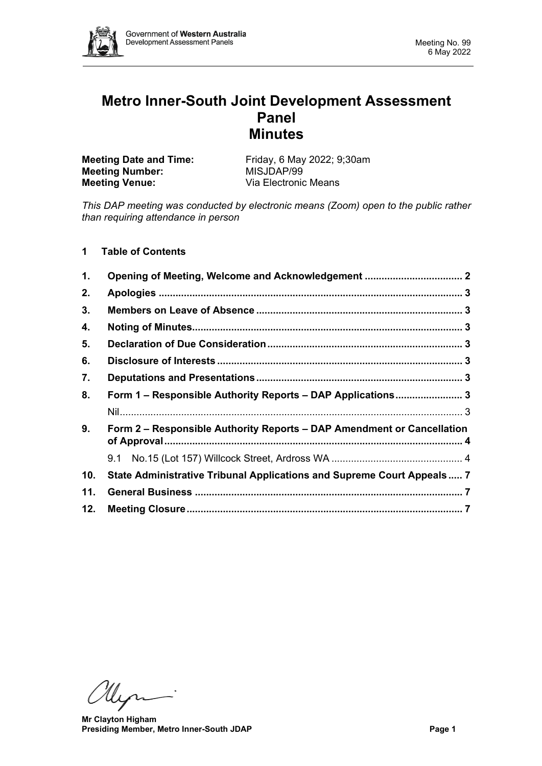

# **Metro Inner-South Joint Development Assessment Panel Minutes**

| <b>Meeting Date and Time:</b> | Friday, 6 May 2022; 9;30am |
|-------------------------------|----------------------------|
| <b>Meeting Number:</b>        | MISJDAP/99                 |
| <b>Meeting Venue:</b>         | Via Electronic Means       |

*This DAP meeting was conducted by electronic means (Zoom) open to the public rather than requiring attendance in person*

# **1 Table of Contents**

| 1.  |                                                                        |  |
|-----|------------------------------------------------------------------------|--|
| 2.  |                                                                        |  |
| 3.  |                                                                        |  |
| 4.  |                                                                        |  |
| 5.  |                                                                        |  |
| 6.  |                                                                        |  |
| 7.  |                                                                        |  |
| 8.  | Form 1 - Responsible Authority Reports - DAP Applications 3            |  |
|     |                                                                        |  |
| 9.  | Form 2 – Responsible Authority Reports – DAP Amendment or Cancellation |  |
|     |                                                                        |  |
| 10. | State Administrative Tribunal Applications and Supreme Court Appeals 7 |  |
| 11. |                                                                        |  |
| 12. |                                                                        |  |

Ulyn-

**Mr Clayton Higham Presiding Member, Metro Inner-South JDAP Page 1**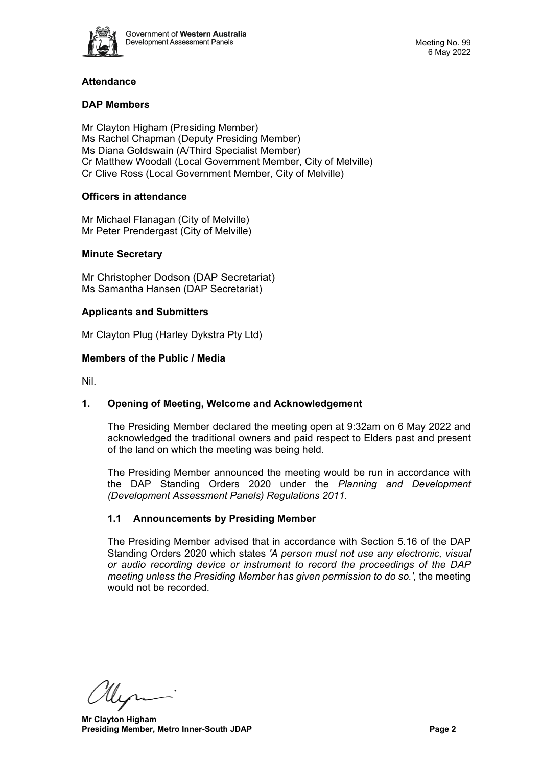

# **Attendance**

# **DAP Members**

Mr Clayton Higham (Presiding Member) Ms Rachel Chapman (Deputy Presiding Member) Ms Diana Goldswain (A/Third Specialist Member) Cr Matthew Woodall (Local Government Member, City of Melville) Cr Clive Ross (Local Government Member, City of Melville)

# **Officers in attendance**

Mr Michael Flanagan (City of Melville) Mr Peter Prendergast (City of Melville)

## **Minute Secretary**

Mr Christopher Dodson (DAP Secretariat) Ms Samantha Hansen (DAP Secretariat)

## **Applicants and Submitters**

Mr Clayton Plug (Harley Dykstra Pty Ltd)

#### **Members of the Public / Media**

<span id="page-1-0"></span>Nil.

# **1. Opening of Meeting, Welcome and Acknowledgement**

The Presiding Member declared the meeting open at 9:32am on 6 May 2022 and acknowledged the traditional owners and paid respect to Elders past and present of the land on which the meeting was being held.

The Presiding Member announced the meeting would be run in accordance with the DAP Standing Orders 2020 under the *Planning and Development (Development Assessment Panels) Regulations 2011.*

#### **1.1 Announcements by Presiding Member**

The Presiding Member advised that in accordance with Section 5.16 of the DAP Standing Orders 2020 which states *'A person must not use any electronic, visual or audio recording device or instrument to record the proceedings of the DAP meeting unless the Presiding Member has given permission to do so.',* the meeting would not be recorded.

llin

**Mr Clayton Higham Presiding Member, Metro Inner-South JDAP Page 2 Page 2**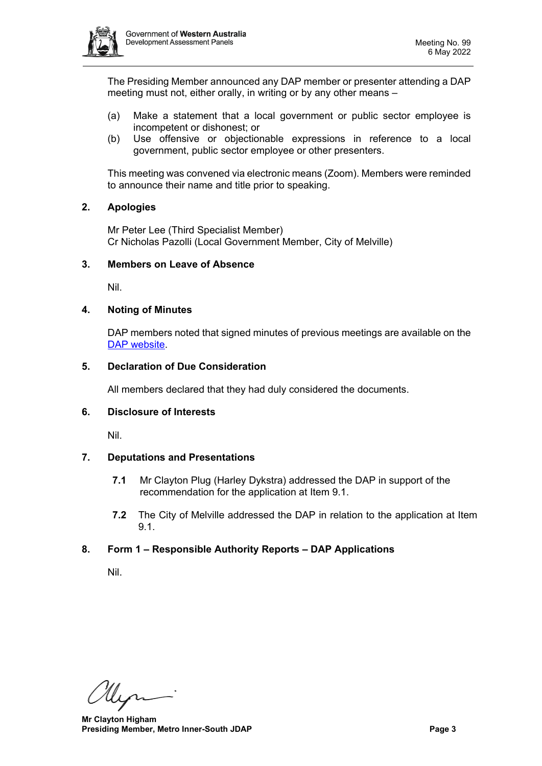

The Presiding Member announced any DAP member or presenter attending a DAP meeting must not, either orally, in writing or by any other means –

- (a) Make a statement that a local government or public sector employee is incompetent or dishonest; or
- (b) Use offensive or objectionable expressions in reference to a local government, public sector employee or other presenters.

This meeting was convened via electronic means (Zoom). Members were reminded to announce their name and title prior to speaking.

# <span id="page-2-0"></span>**2. Apologies**

Mr Peter Lee (Third Specialist Member) Cr Nicholas Pazolli (Local Government Member, City of Melville)

## <span id="page-2-1"></span>**3. Members on Leave of Absence**

Nil.

## <span id="page-2-2"></span>**4. Noting of Minutes**

DAP members noted that signed minutes of previous meetings are available on the [DAP website.](https://www.dplh.wa.gov.au/about/development-assessment-panels/daps-agendas-and-minutes)

## <span id="page-2-3"></span>**5. Declaration of Due Consideration**

All members declared that they had duly considered the documents.

#### <span id="page-2-4"></span>**6. Disclosure of Interests**

Nil.

#### <span id="page-2-5"></span>**7. Deputations and Presentations**

- **7.1** Mr Clayton Plug (Harley Dykstra) addressed the DAP in support of the recommendation for the application at Item 9.1.
- **7.2** The City of Melville addressed the DAP in relation to the application at Item 9.1.

# <span id="page-2-7"></span><span id="page-2-6"></span>**8. Form 1 – Responsible Authority Reports – DAP Applications**

Nil.

Myri-

**Mr Clayton Higham Presiding Member, Metro Inner-South JDAP Page 3**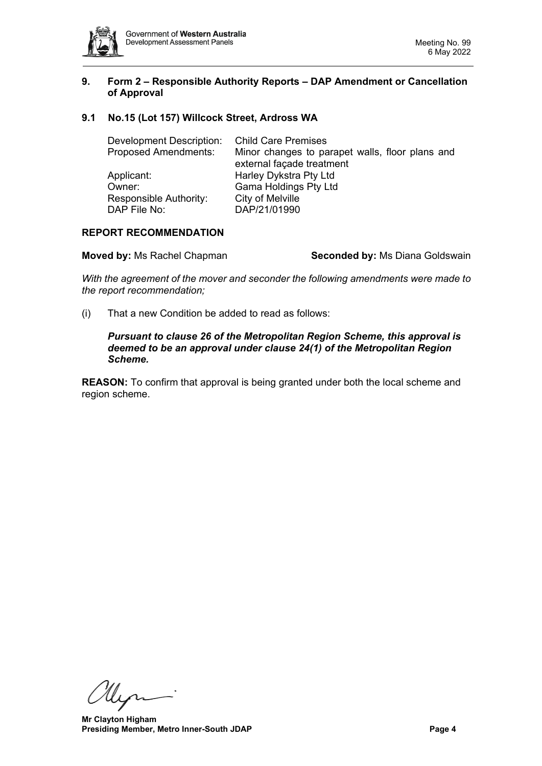

## <span id="page-3-0"></span>**9. Form 2 – Responsible Authority Reports – DAP Amendment or Cancellation of Approval**

# <span id="page-3-1"></span>**9.1 No.15 (Lot 157) Willcock Street, Ardross WA**

| <b>Child Care Premises</b>                      |
|-------------------------------------------------|
| Minor changes to parapet walls, floor plans and |
| external façade treatment                       |
| Harley Dykstra Pty Ltd                          |
| Gama Holdings Pty Ltd                           |
| City of Melville                                |
| DAP/21/01990                                    |
|                                                 |

## **REPORT RECOMMENDATION**

**Moved by:** Ms Rachel Chapman **Seconded by:** Ms Diana Goldswain

*With the agreement of the mover and seconder the following amendments were made to the report recommendation;*

(i) That a new Condition be added to read as follows:

#### *Pursuant to clause 26 of the Metropolitan Region Scheme, this approval is deemed to be an approval under clause 24(1) of the Metropolitan Region Scheme.*

**REASON:** To confirm that approval is being granted under both the local scheme and region scheme.

Uni

**Mr Clayton Higham Presiding Member, Metro Inner-South JDAP Page 4 Page 4**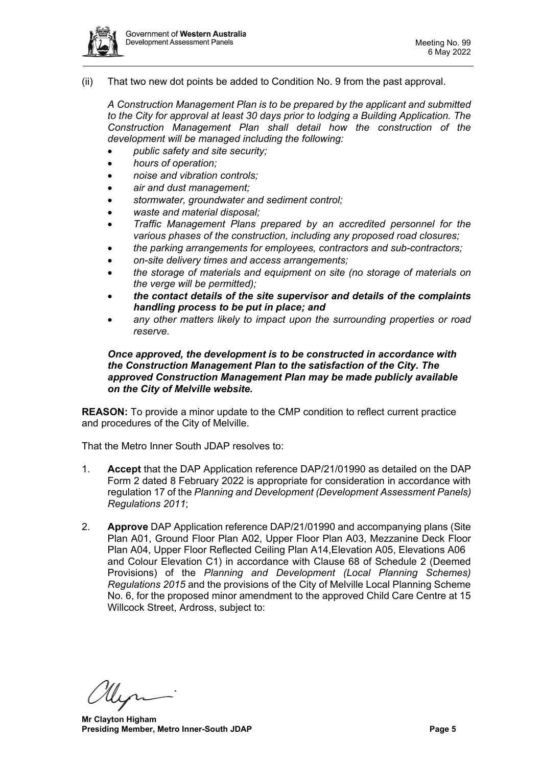

(ii) That two new dot points be added to Condition No. 9 from the past approval.

*A Construction Management Plan is to be prepared by the applicant and submitted to the City for approval at least 30 days prior to lodging a Building Application. The Construction Management Plan shall detail how the construction of the development will be managed including the following:*

- *public safety and site security;*
- *hours of operation;*
- *noise and vibration controls;*
- *air and dust management;*
- *stormwater, groundwater and sediment control;*
- *waste and material disposal;*
- *Traffic Management Plans prepared by an accredited personnel for the various phases of the construction, including any proposed road closures;*
- *the parking arrangements for employees, contractors and sub-contractors;*
- *on-site delivery times and access arrangements;*
- *the storage of materials and equipment on site (no storage of materials on the verge will be permitted);*
- *the contact details of the site supervisor and details of the complaints handling process to be put in place; and*
- *any other matters likely to impact upon the surrounding properties or road reserve.*

### *Once approved, the development is to be constructed in accordance with the Construction Management Plan to the satisfaction of the City. The approved Construction Management Plan may be made publicly available on the City of Melville website.*

**REASON:** To provide a minor update to the CMP condition to reflect current practice and procedures of the City of Melville.

That the Metro Inner South JDAP resolves to:

- 1. **Accept** that the DAP Application reference DAP/21/01990 as detailed on the DAP Form 2 dated 8 February 2022 is appropriate for consideration in accordance with regulation 17 of the *Planning and Development (Development Assessment Panels) Regulations 2011*;
- 2. **Approve** DAP Application reference DAP/21/01990 and accompanying plans (Site Plan A01, Ground Floor Plan A02, Upper Floor Plan A03, Mezzanine Deck Floor Plan A04, Upper Floor Reflected Ceiling Plan A14,Elevation A05, Elevations A06 and Colour Elevation C1) in accordance with Clause 68 of Schedule 2 (Deemed Provisions) of the *Planning and Development (Local Planning Schemes) Regulations 2015* and the provisions of the City of Melville Local Planning Scheme No. 6, for the proposed minor amendment to the approved Child Care Centre at 15 Willcock Street, Ardross, subject to:

**Mr Clayton Higham Presiding Member, Metro Inner-South JDAP Page 5 Page 5**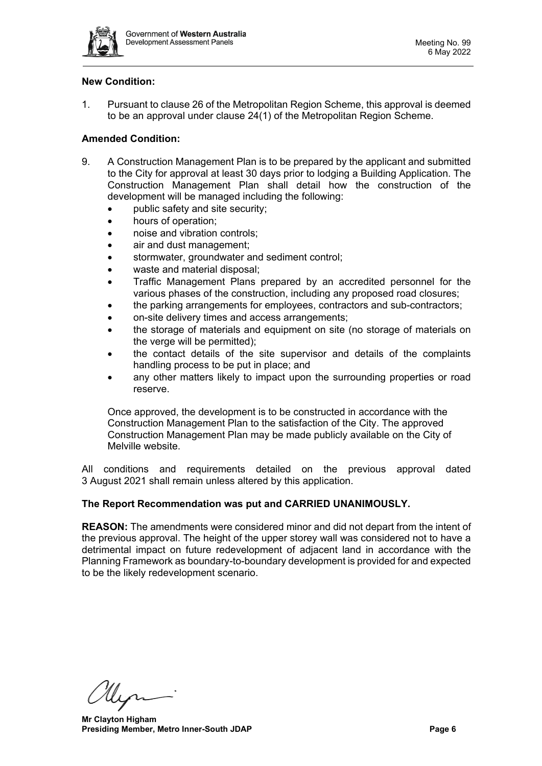

# **New Condition:**

1. Pursuant to clause 26 of the Metropolitan Region Scheme, this approval is deemed to be an approval under clause 24(1) of the Metropolitan Region Scheme.

# **Amended Condition:**

- 9. A Construction Management Plan is to be prepared by the applicant and submitted to the City for approval at least 30 days prior to lodging a Building Application. The Construction Management Plan shall detail how the construction of the development will be managed including the following:
	- public safety and site security;
	- hours of operation;
	- noise and vibration controls;
	- air and dust management;
	- stormwater, groundwater and sediment control;
	- waste and material disposal;
	- Traffic Management Plans prepared by an accredited personnel for the various phases of the construction, including any proposed road closures;
	- the parking arrangements for employees, contractors and sub-contractors;
	- on-site delivery times and access arrangements;
	- the storage of materials and equipment on site (no storage of materials on the verge will be permitted);
	- the contact details of the site supervisor and details of the complaints handling process to be put in place; and
	- any other matters likely to impact upon the surrounding properties or road reserve.

Once approved, the development is to be constructed in accordance with the Construction Management Plan to the satisfaction of the City. The approved Construction Management Plan may be made publicly available on the City of Melville website.

All conditions and requirements detailed on the previous approval dated 3 August 2021 shall remain unless altered by this application.

# **The Report Recommendation was put and CARRIED UNANIMOUSLY.**

**REASON:** The amendments were considered minor and did not depart from the intent of the previous approval. The height of the upper storey wall was considered not to have a detrimental impact on future redevelopment of adjacent land in accordance with the Planning Framework as boundary-to-boundary development is provided for and expected to be the likely redevelopment scenario.

**Mr Clayton Higham Presiding Member, Metro Inner-South JDAP Page 6 Page 6**